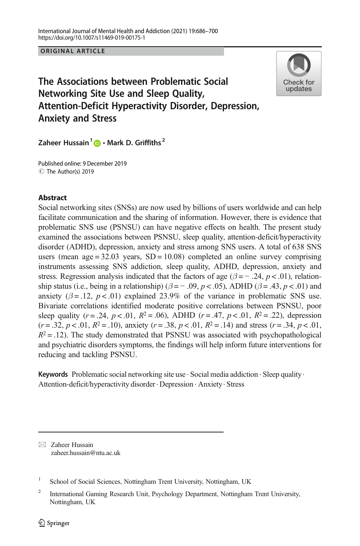ORIGINAL ARTICLE



# The Associations between Problematic Social Networking Site Use and Sleep Quality, Attention-Deficit Hyperactivity Disorder, Depression, Anxiety and Stress

Zaheer Hussain<sup>1</sup>  $\bigcirc$  · Mark D. Griffiths<sup>2</sup>

C The Author(s) 2019 Published online: 9 December 2019

# **Abstract**

Social networking sites (SNSs) are now used by billions of users worldwide and can help facilitate communication and the sharing of information. However, there is evidence that problematic SNS use (PSNSU) can have negative effects on health. The present study examined the associations between PSNSU, sleep quality, attention-deficit/hyperactivity disorder (ADHD), depression, anxiety and stress among SNS users. A total of 638 SNS users (mean age  $= 32.03$  years,  $SD = 10.08$ ) completed an online survey comprising instruments assessing SNS addiction, sleep quality, ADHD, depression, anxiety and stress. Regression analysis indicated that the factors of age ( $\beta$  = - .24, p < .01), relationship status (i.e., being in a relationship) ( $\beta$  = -.09, p < .05), ADHD ( $\beta$  = .43, p < .01) and anxiety ( $\beta = .12$ ,  $p < .01$ ) explained 23.9% of the variance in problematic SNS use. Bivariate correlations identified moderate positive correlations between PSNSU, poor sleep quality ( $r = .24$ ,  $p < .01$ ,  $R^2 = .06$ ), ADHD ( $r = .47$ ,  $p < .01$ ,  $R^2 = .22$ ), depression  $(r = .32, p < .01, R^2 = .10)$ , anxiety  $(r = .38, p < .01, R^2 = .14)$  and stress  $(r = .34, p < .01,$  $R^2 = 0.12$ ). The study demonstrated that PSNSU was associated with psychopathological and psychiatric disorders symptoms, the findings will help inform future interventions for reducing and tackling PSNSU.

**Keywords** Problematic social networking site use  $\cdot$  Social media addiction  $\cdot$  Sleep quality. Attention-deficit/hyperactivity disorder. Depression . Anxiety. Stress

 $\boxtimes$  Zaheer Hussain [zaheer.hussain@ntu.ac.uk](mailto:zaheer.hussain@ntu.ac.uk)

<sup>1</sup> School of Social Sciences, Nottingham Trent University, Nottingham, UK

<sup>&</sup>lt;sup>2</sup> International Gaming Research Unit, Psychology Department, Nottingham Trent University, Nottingham, UK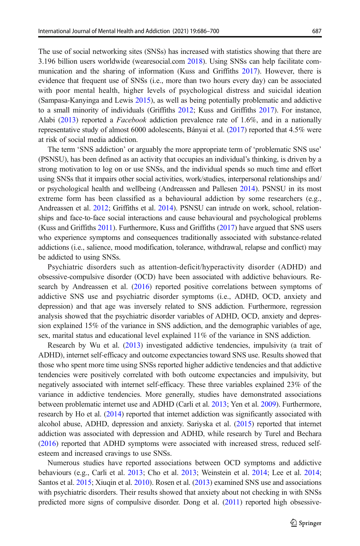The use of social networking sites (SNSs) has increased with statistics showing that there are 3.196 billion users worldwide (wearesocial.com [2018](#page-13-0)). Using SNSs can help facilitate communication and the sharing of information (Kuss and Griffiths [2017](#page-11-0)). However, there is evidence that frequent use of SNSs (i.e., more than two hours every day) can be associated with poor mental health, higher levels of psychological distress and suicidal ideation (Sampasa-Kanyinga and Lewis [2015\)](#page-13-0), as well as being potentially problematic and addictive to a small minority of individuals (Griffiths [2012](#page-11-0); Kuss and Griffiths [2017\)](#page-11-0). For instance, Alabi [\(2013\)](#page-10-0) reported a *Facebook* addiction prevalence rate of 1.6%, and in a nationally representative study of almost 6000 adolescents, Bányai et al. ([2017](#page-10-0)) reported that 4.5% were at risk of social media addiction.

The term 'SNS addiction' or arguably the more appropriate term of 'problematic SNS use' (PSNSU), has been defined as an activity that occupies an individual's thinking, is driven by a strong motivation to log on or use SNSs, and the individual spends so much time and effort using SNSs that it impairs other social activities, work/studies, interpersonal relationships and/ or psychological health and wellbeing (Andreassen and Pallesen [2014\)](#page-10-0). PSNSU in its most extreme form has been classified as a behavioural addiction by some researchers (e.g., Andreassen et al. [2012](#page-10-0); Griffiths et al. [2014\)](#page-11-0). PSNSU can intrude on work, school, relationships and face-to-face social interactions and cause behavioural and psychological problems (Kuss and Griffiths [2011\)](#page-11-0). Furthermore, Kuss and Griffiths [\(2017\)](#page-11-0) have argued that SNS users who experience symptoms and consequences traditionally associated with substance-related addictions (i.e., salience, mood modification, tolerance, withdrawal, relapse and conflict) may be addicted to using SNSs.

Psychiatric disorders such as attention-deficit/hyperactivity disorder (ADHD) and obsessive-compulsive disorder (OCD) have been associated with addictive behaviours. Research by Andreassen et al. ([2016](#page-10-0)) reported positive correlations between symptoms of addictive SNS use and psychiatric disorder symptoms (i.e., ADHD, OCD, anxiety and depression) and that age was inversely related to SNS addiction. Furthermore, regression analysis showed that the psychiatric disorder variables of ADHD, OCD, anxiety and depression explained 15% of the variance in SNS addiction, and the demographic variables of age, sex, marital status and educational level explained 11% of the variance in SNS addiction.

Research by Wu et al. [\(2013\)](#page-14-0) investigated addictive tendencies, impulsivity (a trait of ADHD), internet self-efficacy and outcome expectancies toward SNS use. Results showed that those who spent more time using SNSs reported higher addictive tendencies and that addictive tendencies were positively correlated with both outcome expectancies and impulsivity, but negatively associated with internet self-efficacy. These three variables explained 23% of the variance in addictive tendencies. More generally, studies have demonstrated associations between problematic internet use and ADHD (Carli et al. [2013;](#page-10-0) Yen et al. [2009](#page-14-0)). Furthermore, research by Ho et al. ([2014](#page-11-0)) reported that internet addiction was significantly associated with alcohol abuse, ADHD, depression and anxiety. Sariyska et al. ([2015](#page-13-0)) reported that internet addiction was associated with depression and ADHD, while research by Turel and Bechara ([2016](#page-13-0)) reported that ADHD symptoms were associated with increased stress, reduced selfesteem and increased cravings to use SNSs.

Numerous studies have reported associations between OCD symptoms and addictive behaviours (e.g., Carli et al. [2013;](#page-10-0) Cho et al. [2013](#page-10-0); Weinstein et al. [2014](#page-13-0); Lee et al. [2014](#page-12-0); Santos et al. [2015;](#page-13-0) Xiuqin et al. [2010](#page-14-0)). Rosen et al. ([2013](#page-12-0)) examined SNS use and associations with psychiatric disorders. Their results showed that anxiety about not checking in with SNSs predicted more signs of compulsive disorder. Dong et al. ([2011\)](#page-11-0) reported high obsessive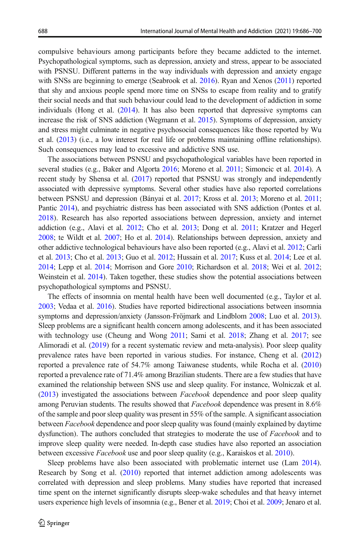compulsive behaviours among participants before they became addicted to the internet. Psychopathological symptoms, such as depression, anxiety and stress, appear to be associated with PSNSU. Different patterns in the way individuals with depression and anxiety engage with SNSs are beginning to emerge (Seabrook et al. [2016](#page-13-0)). Ryan and Xenos [\(2011](#page-12-0)) reported that shy and anxious people spend more time on SNSs to escape from reality and to gratify their social needs and that such behaviour could lead to the development of addiction in some individuals (Hong et al. ([2014](#page-11-0)). It has also been reported that depressive symptoms can increase the risk of SNS addiction (Wegmann et al. [2015](#page-13-0)). Symptoms of depression, anxiety and stress might culminate in negative psychosocial consequences like those reported by Wu et al. [\(2013](#page-14-0)) (i.e., a low interest for real life or problems maintaining offline relationships). Such consequences may lead to excessive and addictive SNS use.

The associations between PSNSU and psychopathological variables have been reported in several studies (e.g., Baker and Algorta [2016;](#page-10-0) Moreno et al. [2011](#page-12-0); Simoncic et al. [2014](#page-13-0)). A recent study by Shensa et al. ([2017](#page-13-0)) reported that PSNSU was strongly and independently associated with depressive symptoms. Several other studies have also reported correlations between PSNSU and depression (Bányai et al. [2017;](#page-10-0) Kross et al. [2013;](#page-11-0) Moreno et al. [2011](#page-12-0); Pantic [2014](#page-12-0)), and psychiatric distress has been associated with SNS addiction (Pontes et al. [2018\)](#page-12-0). Research has also reported associations between depression, anxiety and internet addiction (e.g., Alavi et al. [2012](#page-10-0); Cho et al. [2013;](#page-10-0) Dong et al. [2011;](#page-11-0) Kratzer and Hegerl [2008](#page-11-0); te Wildt et al. [2007](#page-13-0); Ho et al. [2014\)](#page-11-0). Relationships between depression, anxiety and other addictive technological behaviours have also been reported (e.g., Alavi et al. [2012](#page-10-0); Carli et al. [2013;](#page-10-0) Cho et al. [2013](#page-10-0); Guo et al. [2012](#page-11-0); Hussain et al. [2017;](#page-11-0) Kuss et al. [2014](#page-12-0); Lee et al. [2014](#page-12-0); Lepp et al. [2014](#page-12-0); Morrison and Gore [2010](#page-12-0); Richardson et al. [2018;](#page-12-0) Wei et al. [2012](#page-13-0); Weinstein et al. [2014\)](#page-13-0). Taken together, these studies show the potential associations between psychopathological symptoms and PSNSU.

The effects of insomnia on mental health have been well documented (e.g., Taylor et al. [2003](#page-13-0); Vedaa et al. [2016\)](#page-13-0). Studies have reported bidirectional associations between insomnia symptoms and depression/anxiety (Jansson-Fröjmark and Lindblom [2008;](#page-11-0) Luo et al. [2013](#page-12-0)). Sleep problems are a significant health concern among adolescents, and it has been associated with technology use (Cheung and Wong [2011](#page-10-0); Sami et al. [2018](#page-13-0); Zhang et al. [2017](#page-14-0); see Alimoradi et al. [\(2019](#page-10-0)) for a recent systematic review and meta-analysis). Poor sleep quality prevalence rates have been reported in various studies. For instance, Cheng et al. [\(2012\)](#page-10-0) reported a prevalence rate of 54.7% among Taiwanese students, while Rocha et al. [\(2010\)](#page-12-0) reported a prevalence rate of 71.4% among Brazilian students. There are a few studies that have examined the relationship between SNS use and sleep quality. For instance, Wolniczak et al.  $(2013)$  $(2013)$  $(2013)$  investigated the associations between *Facebook* dependence and poor sleep quality among Peruvian students. The results showed that Facebook dependence was present in 8.6% of the sample and poor sleep quality was present in 55% of the sample. A significant association between Facebook dependence and poor sleep quality was found (mainly explained by daytime dysfunction). The authors concluded that strategies to moderate the use of *Facebook* and to improve sleep quality were needed. In-depth case studies have also reported an association between excessive Facebook use and poor sleep quality (e.g., Karaiskos et al. [2010](#page-11-0)).

Sleep problems have also been associated with problematic internet use (Lam [2014](#page-12-0)). Research by Song et al. ([2010\)](#page-13-0) reported that internet addiction among adolescents was correlated with depression and sleep problems. Many studies have reported that increased time spent on the internet significantly disrupts sleep-wake schedules and that heavy internet users experience high levels of insomnia (e.g., Bener et al. [2019;](#page-10-0) Choi et al. [2009](#page-10-0); Jenaro et al.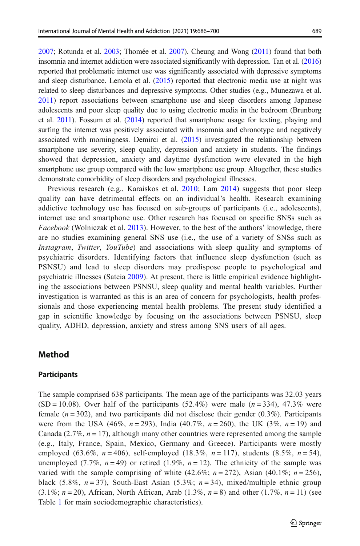[2007](#page-11-0); Rotunda et al. [2003;](#page-12-0) Thomée et al. [2007](#page-13-0)). Cheung and Wong [\(2011](#page-10-0)) found that both insomnia and internet addiction were associated significantly with depression. Tan et al. [\(2016\)](#page-13-0) reported that problematic internet use was significantly associated with depressive symptoms and sleep disturbance. Lemola et al. ([2015](#page-12-0)) reported that electronic media use at night was related to sleep disturbances and depressive symptoms. Other studies (e.g., Munezawa et al. [2011](#page-12-0)) report associations between smartphone use and sleep disorders among Japanese adolescents and poor sleep quality due to using electronic media in the bedroom (Brunborg et al. [2011\)](#page-10-0). Fossum et al. ([2014](#page-11-0)) reported that smartphone usage for texting, playing and surfing the internet was positively associated with insomnia and chronotype and negatively associated with morningness. Demirci et al. [\(2015\)](#page-11-0) investigated the relationship between smartphone use severity, sleep quality, depression and anxiety in students. The findings showed that depression, anxiety and daytime dysfunction were elevated in the high smartphone use group compared with the low smartphone use group. Altogether, these studies demonstrate comorbidity of sleep disorders and psychological illnesses.

Previous research (e.g., Karaiskos et al. [2010](#page-11-0); Lam [2014\)](#page-12-0) suggests that poor sleep quality can have detrimental effects on an individual's health. Research examining addictive technology use has focused on sub-groups of participants (i.e., adolescents), internet use and smartphone use. Other research has focused on specific SNSs such as Facebook (Wolniczak et al. [2013](#page-14-0)). However, to the best of the authors' knowledge, there are no studies examining general SNS use (i.e., the use of a variety of SNSs such as Instagram, Twitter, YouTube) and associations with sleep quality and symptoms of psychiatric disorders. Identifying factors that influence sleep dysfunction (such as PSNSU) and lead to sleep disorders may predispose people to psychological and psychiatric illnesses (Sateia [2009](#page-13-0)). At present, there is little empirical evidence highlighting the associations between PSNSU, sleep quality and mental health variables. Further investigation is warranted as this is an area of concern for psychologists, health professionals and those experiencing mental health problems. The present study identified a gap in scientific knowledge by focusing on the associations between PSNSU, sleep quality, ADHD, depression, anxiety and stress among SNS users of all ages.

# Method

#### **Participants**

The sample comprised 638 participants. The mean age of the participants was 32.03 years  $(SD = 10.08)$ . Over half of the participants (52.4%) were male  $(n = 334)$ , 47.3% were female  $(n = 302)$ , and two participants did not disclose their gender  $(0.3\%)$ . Participants were from the USA (46%,  $n = 293$ ), India (40.7%,  $n = 260$ ), the UK (3%,  $n = 19$ ) and Canada (2.7%,  $n = 17$ ), although many other countries were represented among the sample (e.g., Italy, France, Spain, Mexico, Germany and Greece). Participants were mostly employed (63.6%,  $n = 406$ ), self-employed (18.3%,  $n = 117$ ), students (8.5%,  $n = 54$ ), unemployed (7.7%,  $n = 49$ ) or retired (1.9%,  $n = 12$ ). The ethnicity of the sample was varied with the sample comprising of white (42.6%;  $n = 272$ ), Asian (40.1%;  $n = 256$ ), black (5.8%,  $n = 37$ ), South-East Asian (5.3%;  $n = 34$ ), mixed/multiple ethnic group  $(3.1\%; n = 20)$ , African, North African, Arab  $(1.3\%, n = 8)$  and other  $(1.7\%, n = 11)$  (see Table [1](#page-4-0) for main sociodemographic characteristics).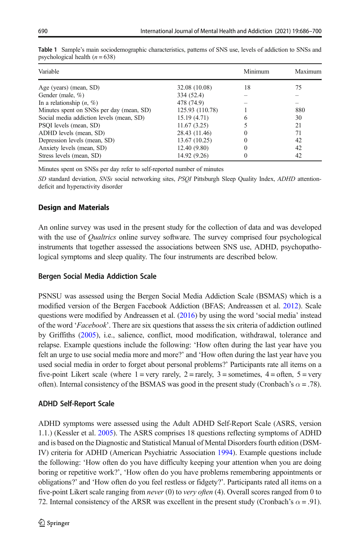| Variable                                 | Minimum         | Maximum  |     |
|------------------------------------------|-----------------|----------|-----|
| Age (years) (mean, SD)                   | 32.08 (10.08)   | 18       | 75  |
| Gender (male, %)                         | 334 (52.4)      |          |     |
| In a relationship $(n, %)$               | 478 (74.9)      |          |     |
| Minutes spent on SNSs per day (mean, SD) | 125.93 (110.78) |          | 880 |
| Social media addiction levels (mean, SD) | 15.19 (4.71)    | 6        | 30  |
| PSOI levels (mean, SD)                   | 11.67(3.25)     |          | 21  |
| ADHD levels (mean, SD)                   | 28.43 (11.46)   | $\Omega$ | 71  |
| Depression levels (mean, SD)             | 13.67(10.25)    | $\Omega$ | 42  |
| Anxiety levels (mean, SD)                | 12.40(9.80)     | $\Omega$ | 42  |
| Stress levels (mean, SD)                 | 14.92 (9.26)    | $\theta$ | 42  |
|                                          |                 |          |     |

<span id="page-4-0"></span>Table 1 Sample's main sociodemographic characteristics, patterns of SNS use, levels of addiction to SNSs and psychological health  $(n = 638)$ 

Minutes spent on SNSs per day refer to self-reported number of minutes

SD standard deviation, SNSs social networking sites, PSQI Pittsburgh Sleep Quality Index, ADHD attentiondeficit and hyperactivity disorder

#### Design and Materials

An online survey was used in the present study for the collection of data and was developed with the use of *Qualtrics* online survey software. The survey comprised four psychological instruments that together assessed the associations between SNS use, ADHD, psychopathological symptoms and sleep quality. The four instruments are described below.

#### Bergen Social Media Addiction Scale

PSNSU was assessed using the Bergen Social Media Addiction Scale (BSMAS) which is a modified version of the Bergen Facebook Addiction (BFAS; Andreassen et al. [2012](#page-10-0)). Scale questions were modified by Andreassen et al. [\(2016\)](#page-10-0) by using the word 'social media' instead of the word 'Facebook'. There are six questions that assess the six criteria of addiction outlined by Griffiths ([2005](#page-11-0)), i.e., salience, conflict, mood modification, withdrawal, tolerance and relapse. Example questions include the following: 'How often during the last year have you felt an urge to use social media more and more?' and 'How often during the last year have you used social media in order to forget about personal problems?' Participants rate all items on a five-point Likert scale (where  $1 = \text{very rarely}, 2 = \text{rarely}, 3 = \text{sometimes}, 4 = \text{often}, 5 = \text{very}$ ) often). Internal consistency of the BSMAS was good in the present study (Cronbach's  $\alpha$  = .78).

# ADHD Self-Report Scale

ADHD symptoms were assessed using the Adult ADHD Self-Report Scale (ASRS, version 1.1.) (Kessler et al. [2005](#page-11-0)). The ASRS comprises 18 questions reflecting symptoms of ADHD and is based on the Diagnostic and Statistical Manual of Mental Disorders fourth edition (DSM-IV) criteria for ADHD (American Psychiatric Association [1994](#page-10-0)). Example questions include the following: 'How often do you have difficulty keeping your attention when you are doing boring or repetitive work?', 'How often do you have problems remembering appointments or obligations?' and 'How often do you feel restless or fidgety?'. Participants rated all items on a five-point Likert scale ranging from *never* (0) to *very often* (4). Overall scores ranged from 0 to 72. Internal consistency of the ARSR was excellent in the present study (Cronbach's  $\alpha$  = .91).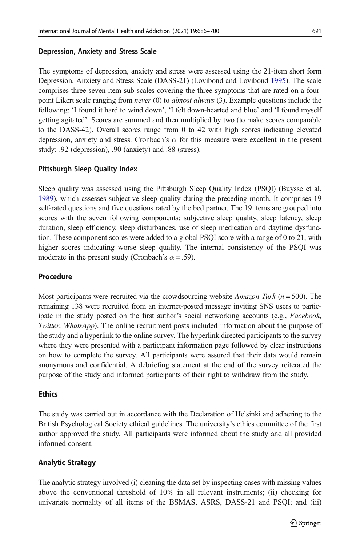# Depression, Anxiety and Stress Scale

The symptoms of depression, anxiety and stress were assessed using the 21-item short form Depression, Anxiety and Stress Scale (DASS-21) (Lovibond and Lovibond [1995](#page-12-0)). The scale comprises three seven-item sub-scales covering the three symptoms that are rated on a fourpoint Likert scale ranging from *never* (0) to *almost always* (3). Example questions include the following: 'I found it hard to wind down', 'I felt down-hearted and blue' and 'I found myself getting agitated'. Scores are summed and then multiplied by two (to make scores comparable to the DASS-42). Overall scores range from 0 to 42 with high scores indicating elevated depression, anxiety and stress. Cronbach's  $\alpha$  for this measure were excellent in the present study: .92 (depression), .90 (anxiety) and .88 (stress).

# Pittsburgh Sleep Quality Index

Sleep quality was assessed using the Pittsburgh Sleep Quality Index (PSQI) (Buysse et al. [1989](#page-10-0)), which assesses subjective sleep quality during the preceding month. It comprises 19 self-rated questions and five questions rated by the bed partner. The 19 items are grouped into scores with the seven following components: subjective sleep quality, sleep latency, sleep duration, sleep efficiency, sleep disturbances, use of sleep medication and daytime dysfunction. These component scores were added to a global PSQI score with a range of 0 to 21, with higher scores indicating worse sleep quality. The internal consistency of the PSQI was moderate in the present study (Cronbach's  $\alpha$  = .59).

#### Procedure

Most participants were recruited via the crowdsourcing website *Amazon Turk* ( $n = 500$ ). The remaining 138 were recruited from an internet-posted message inviting SNS users to participate in the study posted on the first author's social networking accounts (e.g., *Facebook*, Twitter, WhatsApp). The online recruitment posts included information about the purpose of the study and a hyperlink to the online survey. The hyperlink directed participants to the survey where they were presented with a participant information page followed by clear instructions on how to complete the survey. All participants were assured that their data would remain anonymous and confidential. A debriefing statement at the end of the survey reiterated the purpose of the study and informed participants of their right to withdraw from the study.

#### **Ethics**

The study was carried out in accordance with the Declaration of Helsinki and adhering to the British Psychological Society ethical guidelines. The university's ethics committee of the first author approved the study. All participants were informed about the study and all provided informed consent.

# Analytic Strategy

The analytic strategy involved (i) cleaning the data set by inspecting cases with missing values above the conventional threshold of 10% in all relevant instruments; (ii) checking for univariate normality of all items of the BSMAS, ASRS, DASS-21 and PSQI; and (iii)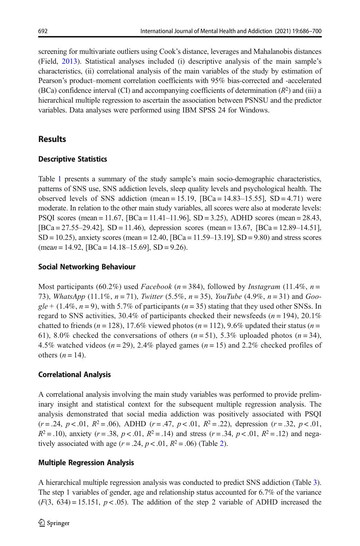screening for multivariate outliers using Cook's distance, leverages and Mahalanobis distances (Field, [2013](#page-11-0)). Statistical analyses included (i) descriptive analysis of the main sample's characteristics, (ii) correlational analysis of the main variables of the study by estimation of Pearson's product–moment correlation coefficients with 95% bias-corrected and -accelerated (BCa) confidence interval (CI) and accompanying coefficients of determination  $(R^2)$  and (iii) a hierarchical multiple regression to ascertain the association between PSNSU and the predictor variables. Data analyses were performed using IBM SPSS 24 for Windows.

# **Results**

# Descriptive Statistics

Table [1](#page-4-0) presents a summary of the study sample's main socio-demographic characteristics, patterns of SNS use, SNS addiction levels, sleep quality levels and psychological health. The observed levels of SNS addiction (mean = 15.19,  $[BCa = 14.83 - 15.55]$ , SD = 4.71) were moderate. In relation to the other main study variables, all scores were also at moderate levels: PSOI scores (mean = 11.67,  $[BCa = 11.41 - 11.96]$ ,  $SD = 3.25$ ), ADHD scores (mean = 28.43, [BCa = 27.55–29.42], SD = 11.46), depression scores (mean = 13.67, [BCa = 12.89–14.51], SD = 10.25), anxiety scores (mean = 12.40, [BCa = 11.59–13.19], SD = 9.80) and stress scores  $(\text{mean} = 14.92, [\text{BCa} = 14.18 - 15.69], SD = 9.26).$ 

# Social Networking Behaviour

Most participants (60.2%) used Facebook (n = 384), followed by Instagram (11.4%, n = 73), WhatsApp  $(11.1\%, n = 71)$ , Twitter  $(5.5\%, n = 35)$ , YouTube  $(4.9\%, n = 31)$  and Goo $gle + (1.4\%, n = 9)$ , with 5.7% of participants  $(n = 35)$  stating that they used other SNSs. In regard to SNS activities, 30.4% of participants checked their newsfeeds ( $n = 194$ ), 20.1% chatted to friends ( $n = 128$ ), 17.6% viewed photos ( $n = 112$ ), 9.6% updated their status ( $n =$ 61), 8.0% checked the conversations of others  $(n=51)$ , 5.3% uploaded photos  $(n=34)$ , 4.5% watched videos ( $n = 29$ ), 2.4% played games ( $n = 15$ ) and 2.2% checked profiles of others  $(n = 14)$ .

# Correlational Analysis

A correlational analysis involving the main study variables was performed to provide preliminary insight and statistical context for the subsequent multiple regression analysis. The analysis demonstrated that social media addiction was positively associated with PSQI  $(r=.24, p < .01, R<sup>2</sup> = .06)$ , ADHD  $(r=.47, p < .01, R<sup>2</sup> = .22)$ , depression  $(r=.32, p < .01,$  $R^2 = .10$ ), anxiety (r = .38, p < .01,  $R^2 = .14$ ) and stress (r = .34, p < .01,  $R^2 = .12$ ) and negatively associated with age  $(r=.24, p < .01, R^2=.06)$  $(r=.24, p < .01, R^2=.06)$  $(r=.24, p < .01, R^2=.06)$  (Table 2).

# Multiple Regression Analysis

A hierarchical multiple regression analysis was conducted to predict SNS addiction (Table [3](#page-7-0)). The step 1 variables of gender, age and relationship status accounted for 6.7% of the variance  $(F(3, 634) = 15.151, p < .05)$ . The addition of the step 2 variable of ADHD increased the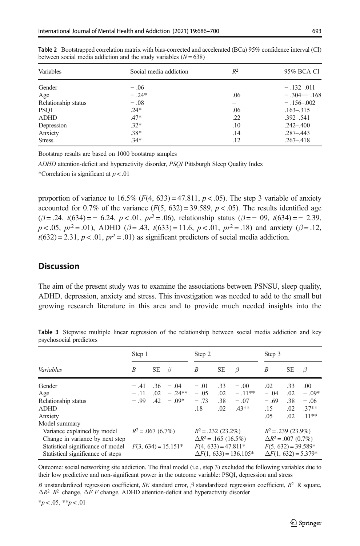| Variables           | Social media addiction | $R^2$ | 95% BCA CI     |  |  |
|---------------------|------------------------|-------|----------------|--|--|
| Gender              | $-.06$                 |       | $-.132-.011$   |  |  |
| Age                 | $-.24*$                | .06   | $-.304--.168$  |  |  |
| Relationship status | $-.08$                 |       | $-.156 - .002$ |  |  |
| <b>PSQI</b>         | $.24*$                 | .06   | $.163 - .315$  |  |  |
| <b>ADHD</b>         | $.47*$                 | .22   | $.392 - .541$  |  |  |
| Depression          | $.32*$                 | .10   | $.242 - .400$  |  |  |
| Anxiety             | $.38*$                 | .14   | $.287 - .443$  |  |  |
| <b>Stress</b>       | $.34*$                 | .12   | $.267 - .418$  |  |  |

<span id="page-7-0"></span>Table 2 Bootstrapped correlation matrix with bias-corrected and accelerated (BCa) 95% confidence interval (CI) between social media addiction and the study variables  $(N = 638)$ 

Bootstrap results are based on 1000 bootstrap samples

ADHD attention-deficit and hyperactivity disorder, PSQI Pittsburgh Sleep Quality Index

\*Correlation is significant at  $p < .01$ 

proportion of variance to  $16.5\%$  (F(4, 633) = 47.811, p < .05). The step 3 variable of anxiety accounted for 0.7% of the variance  $(F(5, 632) = 39.589, p < .05)$ . The results identified age  $(\beta = .24, t(634) = -0.24, p < .01, pr^2 = .06)$ , relationship status  $(\beta = -0.9, t(634) = -0.239,$  $p < .05$ ,  $pr^2 = .01$ ), ADHD ( $\beta = .43$ ,  $t(633) = 11.6$ ,  $p < .01$ ,  $pr^2 = .18$ ) and anxiety ( $\beta = .12$ ,  $t(632) = 2.31, p < .01, pr<sup>2</sup> = .01$  as significant predictors of social media addiction.

# **Discussion**

The aim of the present study was to examine the associations between PSNSU, sleep quality, ADHD, depression, anxiety and stress. This investigation was needed to add to the small but growing research literature in this area and to provide much needed insights into the

|                                                                        | Step 1                |           | Step 2                                                 |        |                      | Step 3                                               |        |     |         |
|------------------------------------------------------------------------|-----------------------|-----------|--------------------------------------------------------|--------|----------------------|------------------------------------------------------|--------|-----|---------|
| Variables                                                              | B                     | <b>SE</b> | $\beta$                                                | B      | <b>SE</b>            | β                                                    | B      | SЕ  | $\beta$ |
| Gender                                                                 | $-.41$                | .36       | $-.04$                                                 | $-.01$ | .33                  | $-.00$                                               | .02    | .33 | .00.    |
| Age                                                                    | $-.11$                | .02       | $-.24**$                                               | $-.05$ | .02                  | $-.11**$                                             | $-.04$ | .02 | $-.09*$ |
| Relationship status                                                    | $-.99$                | .42       | $-.09*$                                                | $-.73$ | .38                  | $-.07$                                               | $-.69$ | .38 | $-.06$  |
| <b>ADHD</b>                                                            |                       |           |                                                        | .18    | .02                  | $.43***$                                             | .15    | .02 | $.37**$ |
| Anxiety                                                                |                       |           |                                                        |        |                      |                                                      | .05    | .02 | $.11**$ |
| Model summary                                                          |                       |           |                                                        |        |                      |                                                      |        |     |         |
| Variance explained by model                                            | $R^2 = .067(6.7\%)$   |           | $R^2 = .232$ (23.2%)                                   |        | $R^2 = .239(23.9\%)$ |                                                      |        |     |         |
| Change in variance by next step                                        |                       |           | $\Delta R^2$ = .165 (16.5%)                            |        |                      | $\Delta R^2$ = .007 (0.7%)                           |        |     |         |
| Statistical significance of model<br>Statistical significance of steps | $F(3, 634) = 15.151*$ |           | $F(4, 633) = 47.811*$<br>$\Delta F(1, 633) = 136.105*$ |        |                      | $F(5, 632) = 39.589*$<br>$\Delta F(1, 632) = 5.379*$ |        |     |         |

Table 3 Stepwise multiple linear regression of the relationship between social media addiction and key psychosocial predictors

Outcome: social networking site addiction. The final model (i.e., step 3) excluded the following variables due to their low predictive and non-significant power in the outcome variable: PSQI, depression and stress

B unstandardized regression coefficient, SE standard error,  $\beta$  standardized regression coefficient,  $R^2$  R square,  $\Delta R^2$  R<sup>2</sup> change,  $\Delta F F$  change, ADHD attention-deficit and hyperactivity disorder

 $*_{p < .05,} *_{p < .01}$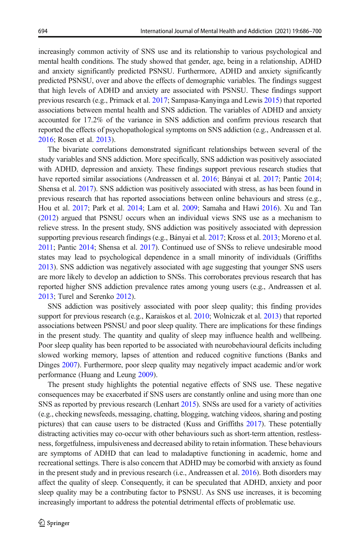increasingly common activity of SNS use and its relationship to various psychological and mental health conditions. The study showed that gender, age, being in a relationship, ADHD and anxiety significantly predicted PSNSU. Furthermore, ADHD and anxiety significantly predicted PSNSU, over and above the effects of demographic variables. The findings suggest that high levels of ADHD and anxiety are associated with PSNSU. These findings support previous research (e.g., Primack et al. [2017](#page-12-0); Sampasa-Kanyinga and Lewis [2015](#page-13-0)) that reported associations between mental health and SNS addiction. The variables of ADHD and anxiety accounted for 17.2% of the variance in SNS addiction and confirm previous research that reported the effects of psychopathological symptoms on SNS addiction (e.g., Andreassen et al. [2016](#page-10-0); Rosen et al. [2013\)](#page-12-0).

The bivariate correlations demonstrated significant relationships between several of the study variables and SNS addiction. More specifically, SNS addiction was positively associated with ADHD, depression and anxiety. These findings support previous research studies that have reported similar associations (Andreassen et al. [2016](#page-10-0); Bányai et al. [2017](#page-10-0); Pantic [2014](#page-12-0); Shensa et al. [2017](#page-13-0)). SNS addiction was positively associated with stress, as has been found in previous research that has reported associations between online behaviours and stress (e.g., Hou et al. [2017](#page-11-0); Park et al. [2014](#page-12-0); Lam et al. [2009](#page-12-0); Samaha and Hawi [2016](#page-12-0)). Xu and Tan ([2012](#page-14-0)) argued that PSNSU occurs when an individual views SNS use as a mechanism to relieve stress. In the present study, SNS addiction was positively associated with depression supporting previous research findings (e.g., Bányai et al. [2017](#page-10-0); Kross et al. [2013](#page-11-0); Moreno et al. [2011](#page-12-0); Pantic [2014;](#page-12-0) Shensa et al. [2017](#page-13-0)). Continued use of SNSs to relieve undesirable mood states may lead to psychological dependence in a small minority of individuals (Griffiths [2013](#page-11-0)). SNS addiction was negatively associated with age suggesting that younger SNS users are more likely to develop an addiction to SNSs. This corroborates previous research that has reported higher SNS addiction prevalence rates among young users (e.g., Andreassen et al. [2013](#page-10-0); Turel and Serenko [2012](#page-13-0)).

SNS addiction was positively associated with poor sleep quality; this finding provides support for previous research (e.g., Karaiskos et al. [2010](#page-11-0); Wolniczak et al. [2013\)](#page-14-0) that reported associations between PSNSU and poor sleep quality. There are implications for these findings in the present study. The quantity and quality of sleep may influence health and wellbeing. Poor sleep quality has been reported to be associated with neurobehavioural deficits including slowed working memory, lapses of attention and reduced cognitive functions (Banks and Dinges [2007](#page-10-0)). Furthermore, poor sleep quality may negatively impact academic and/or work performance (Huang and Leung [2009](#page-11-0)).

The present study highlights the potential negative effects of SNS use. These negative consequences may be exacerbated if SNS users are constantly online and using more than one SNS as reported by previous research (Lenhart [2015\)](#page-12-0). SNSs are used for a variety of activities (e.g., checking newsfeeds, messaging, chatting, blogging, watching videos, sharing and posting pictures) that can cause users to be distracted (Kuss and Griffiths [2017](#page-11-0)). These potentially distracting activities may co-occur with other behaviours such as short-term attention, restlessness, forgetfulness, impulsiveness and decreased ability to retain information. These behaviours are symptoms of ADHD that can lead to maladaptive functioning in academic, home and recreational settings. There is also concern that ADHD may be comorbid with anxiety as found in the present study and in previous research (i.e., Andreassen et al. [2016](#page-10-0)). Both disorders may affect the quality of sleep. Consequently, it can be speculated that ADHD, anxiety and poor sleep quality may be a contributing factor to PSNSU. As SNS use increases, it is becoming increasingly important to address the potential detrimental effects of problematic use.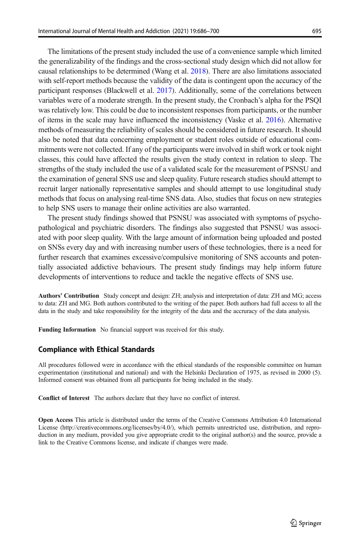The limitations of the present study included the use of a convenience sample which limited the generalizability of the findings and the cross-sectional study design which did not allow for causal relationships to be determined (Wang et al. [2018](#page-13-0)). There are also limitations associated with self-report methods because the validity of the data is contingent upon the accuracy of the participant responses (Blackwell et al. [2017\)](#page-10-0). Additionally, some of the correlations between variables were of a moderate strength. In the present study, the Cronbach's alpha for the PSQI was relatively low. This could be due to inconsistent responses from participants, or the number of items in the scale may have influenced the inconsistency (Vaske et al. [2016](#page-13-0)). Alternative methods of measuring the reliability of scales should be considered in future research. It should also be noted that data concerning employment or student roles outside of educational commitments were not collected. If any of the participants were involved in shift work or took night classes, this could have affected the results given the study context in relation to sleep. The strengths of the study included the use of a validated scale for the measurement of PSNSU and the examination of general SNS use and sleep quality. Future research studies should attempt to recruit larger nationally representative samples and should attempt to use longitudinal study methods that focus on analysing real-time SNS data. Also, studies that focus on new strategies to help SNS users to manage their online activities are also warranted.

The present study findings showed that PSNSU was associated with symptoms of psychopathological and psychiatric disorders. The findings also suggested that PSNSU was associated with poor sleep quality. With the large amount of information being uploaded and posted on SNSs every day and with increasing number users of these technologies, there is a need for further research that examines excessive/compulsive monitoring of SNS accounts and potentially associated addictive behaviours. The present study findings may help inform future developments of interventions to reduce and tackle the negative effects of SNS use.

Authors' Contribution Study concept and design: ZH; analysis and interpretation of data: ZH and MG; access to data: ZH and MG. Both authors contributed to the writing of the paper. Both authors had full access to all the data in the study and take responsibility for the integrity of the data and the accruracy of the data analysis.

Funding Information No financial support was received for this study.

#### Compliance with Ethical Standards

All procedures followed were in accordance with the ethical standards of the responsible committee on human experimentation (institutional and national) and with the Helsinki Declaration of 1975, as revised in 2000 (5). Informed consent was obtained from all participants for being included in the study.

Conflict of Interest The authors declare that they have no conflict of interest.

Open Access This article is distributed under the terms of the Creative Commons Attribution 4.0 International License (http://creativecommons.org/licenses/by/4.0/), which permits unrestricted use, distribution, and reproduction in any medium, provided you give appropriate credit to the original author(s) and the source, provide a link to the Creative Commons license, and indicate if changes were made.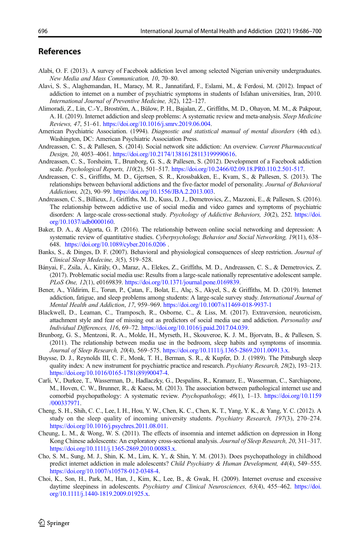#### <span id="page-10-0"></span>References

- Alabi, O. F. (2013). A survey of Facebook addiction level among selected Nigerian university undergraduates. New Media and Mass Communication, 10, 70–80.
- Alavi, S. S., Alaghemandan, H., Maracy, M. R., Jannatifard, F., Eslami, M., & Ferdosi, M. (2012). Impact of addiction to internet on a number of psychiatric symptoms in students of Isfahan universities, Iran, 2010. International Journal of Preventive Medicine, 3(2), 122–127.
- Alimoradi, Z., Lin, C.-Y., Broström, A., Bülow, P. H., Bajalan, Z., Griffiths, M. D., Ohayon, M. M., & Pakpour, A. H. (2019). Internet addiction and sleep problems: A systematic review and meta-analysis. Sleep Medicine Reviews, 47, 51–61. <https://doi.org/10.1016/j.smrv.2019.06.004>.
- American Psychiatric Association. (1994). Diagnostic and statistical manual of mental disorders (4th ed.). Washington, DC: American Psychiatric Association Press.
- Andreassen, C. S., & Pallesen, S. (2014). Social network site addiction: An overview. Current Pharmaceutical Design, 20, 4053–4061. <https://doi.org/10.2174/13816128113199990616>.
- Andreassen, C. S., Torsheim, T., Brunborg, G. S., & Pallesen, S. (2012). Development of a Facebook addiction scale. Psychological Reports, 110(2), 501–517. <https://doi.org/10.2466/02.09.18.PR0.110.2.501-517>.
- Andreassen, C. S., Griffiths, M. D., Gjertsen, S. R., Krossbakken, E., Kvam, S., & Pallesen, S. (2013). The relationships between behavioral addictions and the five-factor model of personality. Journal of Behavioral Addictions, 2(2), 90–99. [https://doi.org/10.1556/JBA.2.2013.003.](https://doi.org/10.1556/JBA.2.2013.003)
- Andreassen, C. S., Billieux, J., Griffiths, M. D., Kuss, D. J., Demetrovics, Z., Mazzoni, E., & Pallesen, S. (2016). The relationship between addictive use of social media and video games and symptoms of psychiatric disorders: A large-scale cross-sectional study. Psychology of Addictive Behaviors, 30(2), 252. [https://doi.](https://doi.org/10.1037/adb0000160) [org/10.1037/adb0000160](https://doi.org/10.1037/adb0000160).
- Baker, D. A., & Algorta, G. P. (2016). The relationship between online social networking and depression: A systematic review of quantitative studies. Cyberpsychology, Behavior and Social Networking, 19(11), 638– 648. <https://doi.org/10.1089/cyber.2016.0206> .
- Banks, S., & Dinges, D. F. (2007). Behavioral and physiological consequences of sleep restriction. Journal of Clinical Sleep Medecine, 3(5), 519–528.
- Bányai, F., Zsila, Á., Király, O., Maraz, A., Elekes, Z., Griffiths, M. D., Andreassen, C. S., & Demetrovics, Z. (2017). Problematic social media use: Results from a large-scale nationally representative adolescent sample. PLoS One, 12(1), e0169839. <https://doi.org/10.1371/journal.pone.0169839>.
- Bener, A., Yildirim, E., Torun, P., Çatan, F., Bolat, E., Alıç, S., Akyel, S., & Griffiths, M. D. (2019). Internet addiction, fatigue, and sleep problems among students: A large-scale survey study. International Journal of Mental Health and Addiction, 17, 959–969. <https://doi.org/10.1007/s11469-018-9937-1>
- Blackwell, D., Leaman, C., Tramposch, R., Osborne, C., & Liss, M. (2017). Extraversion, neuroticism, attachment style and fear of missing out as predictors of social media use and addiction. Personality and Individual Differences, 116, 69–72. <https://doi.org/10.1016/j.paid.2017.04.039>.
- Brunborg, G. S., Mentzoni, R. A., Molde, H., Myrseth, H., Skouveroe, K. J. M., Bjorvatn, B., & Pallesen, S. (2011). The relationship between media use in the bedroom, sleep habits and symptoms of insomnia. Journal of Sleep Research, 20(4), 569–575. [https://doi.org/10.1111/j.1365-2869.2011.00913.x.](https://doi.org/10.1111/j.1365-2869.2011.00913.x)
- Buysse, D. J., Reynolds III, C. F., Monk, T. H., Berman, S. R., & Kupfer, D. J. (1989). The Pittsburgh sleep quality index: A new instrument for psychiatric practice and research. Psychiatry Research, 28(2), 193–213. [https://doi.org/10.1016/0165-1781\(89\)90047-4.](https://doi.org/10.1016/0165-1781(89)90047-4)
- Carli, V., Durkee, T., Wasserman, D., Hadlaczky, G., Despalins, R., Kramarz, E., Wasserman, C., Sarchiapone, M., Hoven, C. W., Brunner, R., & Kaess, M. (2013). The association between pathological internet use and comorbid psychopathology: A systematic review. Psychopathology, 46(1), 1–13. [https://doi.org/10.1159](https://doi.org/10.1159/000337971) [/000337971.](https://doi.org/10.1159/000337971)
- Cheng, S. H., Shih, C. C., Lee, I. H., Hou, Y. W., Chen, K. C., Chen, K. T., Yang, Y. K., & Yang, Y. C. (2012). A study on the sleep quality of incoming university students. Psychiatry Research, 197(3), 270-274. <https://doi.org/10.1016/j.psychres.2011.08.011>.
- Cheung, L. M., & Wong, W. S. (2011). The effects of insomnia and internet addiction on depression in Hong Kong Chinese adolescents: An exploratory cross-sectional analysis. Journal of Sleep Research, 20, 311-317. [https://doi.org/10.1111/j.1365-2869.2010.00883.x.](https://doi.org/10.1111/j.1365-2869.2010.00883.x)
- Cho, S. M., Sung, M. J., Shin, K. M., Lim, K. Y., & Shin, Y. M. (2013). Does psychopathology in childhood predict internet addiction in male adolescents? Child Psychiatry & Human Development, 44(4), 549–555. <https://doi.org/10.1007/s10578-012-0348-4>.
- Choi, K., Son, H., Park, M., Han, J., Kim, K., Lee, B., & Gwak, H. (2009). Internet overuse and excessive daytime sleepiness in adolescents. Psychiatry and Clinical Neurosciences, 63(4), 455-462. [https://doi.](https://doi.org/10.1111/j.1440-1819.2009.01925.x) [org/10.1111/j.1440-1819.2009.01925.x](https://doi.org/10.1111/j.1440-1819.2009.01925.x).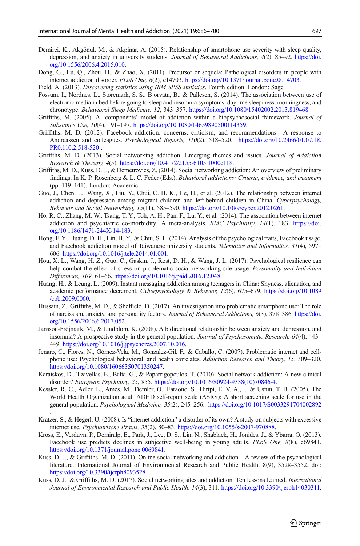- <span id="page-11-0"></span>Demirci, K., Akgönül, M., & Akpinar, A. (2015). Relationship of smartphone use severity with sleep quality, depression, and anxiety in university students. Journal of Behavioral Addictions, 4(2), 85–92. [https://doi.](https://doi.org/10.1556/2006.4.2015.010) [org/10.1556/2006.4.2015.010](https://doi.org/10.1556/2006.4.2015.010).
- Dong, G., Lu, Q., Zhou, H., & Zhao, X. (2011). Precursor or sequela: Pathological disorders in people with internet addiction disorder. *PLoS One*, 6(2), e14703. [https://doi.org/10.1371/journal.pone.0014703.](https://doi.org/10.1371/journal.pone.0014703)
- Field, A. (2013). Discovering statistics using IBM SPSS statistics. Fourth edition. London: Sage.
- Fossum, I., Nordnes, L., Storemark, S. S., Bjorvatn, B., & Pallesen, S. (2014). The association between use of electronic media in bed before going to sleep and insomnia symptoms, daytime sleepiness, morningness, and chronotype. Behavioral Sleep Medicine, 12, 343–357. [https://doi.org/10.1080/15402002.2013.819468.](https://doi.org/10.1080/15402002.2013.819468)
- Griffiths, M. (2005). A 'components' model of addiction within a biopsychosocial framework. Journal of Substance Use, 10(4), 191–197. <https://doi.org/10.1080/14659890500114359>.
- Griffiths, M. D. (2012). Facebook addiction: concerns, criticism, and recommendations—A response to Andreassen and colleagues. Psychological Reports, 110(2), 518–520. [https://doi.org/10.2466/01.07.18.](https://doi.org/10.2466/01.07.18.PR0.110.2.518-520) [PR0.110.2.518-520](https://doi.org/10.2466/01.07.18.PR0.110.2.518-520) .
- Griffiths, M. D. (2013). Social networking addiction: Emerging themes and issues. Journal of Addiction Research & Therapy, 4(5). [https://doi.org/10.4172/2155-6105.1000e118.](https://doi.org/10.4172/2155-6105.1000e118)
- Griffiths, M. D., Kuss, D. J., & Demetrovics, Z. (2014). Social networking addiction: An overview of preliminary findings. In K. P. Rosenberg & L. C. Feder (Eds.), Behavioral addictions: Criteria, evidence, and treatment (pp. 119–141). London: Academic.
- Guo, J., Chen, L., Wang, X., Liu, Y., Chui, C. H. K., He, H., et al. (2012). The relationship between internet addiction and depression among migrant children and left-behind children in China. Cyberpsychology, Behavior and Social Networking, 15(11), 585–590. <https://doi.org/10.1089/cyber.2012.0261>.
- Ho, R. C., Zhang, M. W., Tsang, T. Y., Toh, A. H., Pan, F., Lu, Y., et al. (2014). The association between internet addiction and psychiatric co-morbidity: A meta-analysis. BMC Psychiatry, 14(1), 183. [https://doi.](https://doi.org/10.1186/1471-244X-14-183) [org/10.1186/1471-244X-14-183](https://doi.org/10.1186/1471-244X-14-183).
- Hong, F. Y., Huang, D. H., Lin, H. Y., & Chiu, S. L. (2014). Analysis of the psychological traits, Facebook usage, and Facebook addiction model of Taiwanese university students. Telematics and Informatics, 31(4), 597– 606. <https://doi.org/10.1016/j.tele.2014.01.001>.
- Hou, X. L., Wang, H. Z., Guo, C., Gaskin, J., Rost, D. H., & Wang, J. L. (2017). Psychological resilience can help combat the effect of stress on problematic social networking site usage. Personality and Individual Differences, 109, 61–66. <https://doi.org/10.1016/j.paid.2016.12.048>.
- Huang, H., & Leung, L. (2009). Instant messaging addiction among teenagers in China: Shyness, alienation, and academic performance decrement. Cyberpsychology & Behavior, 12(6), 675–679. [https://doi.org/10.1089](https://doi.org/10.1089/cpb.2009.0060) [/cpb.2009.0060.](https://doi.org/10.1089/cpb.2009.0060)
- Hussain, Z., Griffiths, M. D., & Sheffield, D. (2017). An investigation into problematic smartphone use: The role of narcissism, anxiety, and personality factors. Journal of Behavioral Addictions, 6(3), 378–386. [https://doi.](https://doi.org/10.1556/2006.6.2017.052) [org/10.1556/2006.6.2017.052](https://doi.org/10.1556/2006.6.2017.052).
- Jansson-Fröjmark, M., & Lindblom, K. (2008). A bidirectional relationship between anxiety and depression, and insomnia? A prospective study in the general population. Journal of Psychosomatic Research, 64(4), 443– 449. [https://doi.org/10.1016/j.jpsychores.2007.10.016.](https://doi.org/10.1016/j.jpsychores.2007.10.016)
- Jenaro, C., Flores, N., Gómez-Vela, M., Gonzalez-Gil, F., & Caballo, C. (2007). Problematic internet and cellphone use: Psychological behavioral, and health correlates. Addiction Research and Theory, 15, 309–320. [https://doi.org/10.1080/16066350701350247.](https://doi.org/10.1080/16066350701350247)
- Karaiskos, D., Tzavellas, E., Balta, G., & Paparrigopoulos, T. (2010). Social network addiction: A new clinical disorder? European Psychiatry, 25, 855. [https://doi.org/10.1016/S0924-9338\(10\)70846-4.](https://doi.org/10.1016/S0924-9338(10)70846-4)
- Kessler, R. C., Adler, L., Ames, M., Demler, O., Faraone, S., Hiripi, E. V. A., ... & Ustun, T. B. (2005). The World Health Organization adult ADHD self-report scale (ASRS): A short screening scale for use in the general population. Psychological Medicine, 35(2), 245–256. <https://doi.org/10.1017/S0033291704002892> .
- Kratzer, S., & Hegerl, U. (2008). Is "internet addiction" a disorder of its own? A study on subjects with excessive internet use. Psychiatrische Praxis, 35(2), 80–83. <https://doi.org/10.1055/s-2007-970888>.
- Kross, E., Verduyn, P., Demiralp, E., Park, J., Lee, D. S., Lin, N., Shablack, H., Jonides, J., & Ybarra, O. (2013). Facebook use predicts declines in subjective well-being in young adults. PLoS One, 8(8), e69841. <https://doi.org/10.1371/journal.pone.0069841>.
- Kuss, D. J., & Griffiths, M. D. (2011). Online social networking and addiction—A review of the psychological literature. International Journal of Environmental Research and Public Health, 8(9), 3528–3552. doi: <https://doi.org/10.3390/ijerph8093528> .
- Kuss, D. J., & Griffiths, M. D. (2017). Social networking sites and addiction: Ten lessons learned. International Journal of Environmental Research and Public Health, 14(3), 311. [https://doi.org/10.3390/ijerph14030311.](https://doi.org/10.3390/ijerph14030311)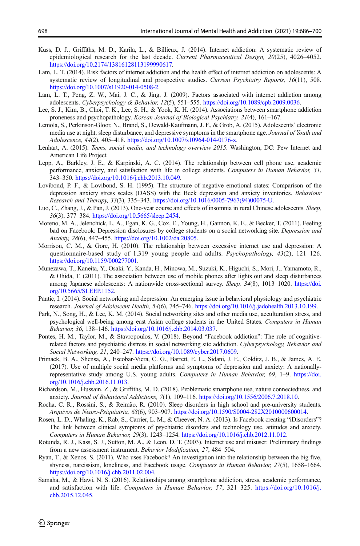- <span id="page-12-0"></span>Kuss, D. J., Griffiths, M. D., Karila, L., & Billieux, J. (2014). Internet addiction: A systematic review of epidemiological research for the last decade. Current Pharmaceutical Design, 20(25), 4026-4052. [https://doi.org/10.2174/13816128113199990617.](https://doi.org/10.2174/13816128113199990617)
- Lam, L. T. (2014). Risk factors of internet addiction and the health effect of internet addiction on adolescents: A systematic review of longitudinal and prospective studies. Current Psychiatry Reports, 16(11), 508. <https://doi.org/10.1007/s11920-014-0508-2>.
- Lam, L. T., Peng, Z. W., Mai, J. C., & Jing, J. (2009). Factors associated with internet addiction among adolescents. Cyberpsychology & Behavior, 12(5), 551–555. <https://doi.org/10.1089/cpb.2009.0036>.
- Lee, S. J., Kim, B., Choi, T. K., Lee, S. H., & Yook, K. H. (2014). Associations between smartphone addiction proneness and psychopathology. Korean Journal of Biological Psychiatry, 21(4), 161–167.
- Lemola, S., Perkinson-Gloor, N., Brand, S., Dewald-Kaufmann, J. F., & Grob, A. (2015). Adolescents' electronic media use at night, sleep disturbance, and depressive symptoms in the smartphone age. Journal of Youth and Adolescence, 44(2), 405–418. <https://doi.org/10.1007/s10964-014-0176-x>.
- Lenhart, A. (2015). Teens, social media, and technology overview 2015. Washington, DC: Pew Internet and American Life Project.
- Lepp, A., Barkley, J. E., & Karpinski, A. C. (2014). The relationship between cell phone use, academic performance, anxiety, and satisfaction with life in college students. Computers in Human Behavior, 31, 343–350. [https://doi.org/10.1016/j.chb.2013.10.049.](https://doi.org/10.1016/j.chb.2013.10.049)
- Lovibond, P. F., & Lovibond, S. H. (1995). The structure of negative emotional states: Comparison of the depression anxiety stress scales (DASS) with the Beck depression and anxiety inventories. Behaviour Research and Therapy, 33(3), 335–343. [https://doi.org/10.1016/0005-7967\(94\)00075-U.](https://doi.org/10.1016/0005-7967(94)00075-U)
- Luo, C., Zhang, J., & Pan, J. (2013). One-year course and effects of insomnia in rural Chinese adolescents. Sleep, 36(3), 377–384. <https://doi.org/10.5665/sleep.2454>.
- Moreno, M. A., Jelenchick, L. A., Egan, K. G., Cox, E., Young, H., Gannon, K. E., & Becker, T. (2011). Feeling bad on Facebook: Depression disclosures by college students on a social networking site. Depression and Anxiety, 28(6), 447–455. <https://doi.org/10.1002/da.20805>.
- Morrison, C. M., & Gore, H. (2010). The relationship between excessive internet use and depression: A questionnaire-based study of 1,319 young people and adults. Psychopathology, 43(2), 121–126. <https://doi.org/10.1159/000277001>.
- Munezawa, T., Kaneita, Y., Osaki, Y., Kanda, H., Minowa, M., Suzuki, K., Higuchi, S., Mori, J., Yamamoto, R., & Ohida, T. (2011). The association between use of mobile phones after lights out and sleep disturbances among Japanese adolescents: A nationwide cross-sectional survey. Sleep, 34(8), 1013–1020. [https://doi.](https://doi.org/10.5665/SLEEP.1152) [org/10.5665/SLEEP.1152](https://doi.org/10.5665/SLEEP.1152).
- Pantic, I. (2014). Social networking and depression: An emerging issue in behavioral physiology and psychiatric research. Journal of Adolescent Health, 54(6), 745–746. <https://doi.org/10.1016/j.jadohealth.2013.10.199>.
- Park, N., Song, H., & Lee, K. M. (2014). Social networking sites and other media use, acculturation stress, and psychological well-being among east Asian college students in the United States. Computers in Human Behavior, 36, 138–146. <https://doi.org/10.1016/j.chb.2014.03.037>.
- Pontes, H. M., Taylor, M., & Stavropoulos, V. (2018). Beyond "Facebook addiction": The role of cognitiverelated factors and psychiatric distress in social networking site addiction. Cyberpsychology, Behavior and Social Networking, 21, 240–247. <https://doi.org/10.1089/cyber.2017.0609>.
- Primack, B. A., Shensa, A., Escobar-Viera, C. G., Barrett, E. L., Sidani, J. E., Colditz, J. B., & James, A. E. (2017). Use of multiple social media platforms and symptoms of depression and anxiety: A nationallyrepresentative study among U.S. young adults. Computers in Human Behavior, 69, 1–9. [https://doi.](https://doi.org/10.1016/j.chb.2016.11.013) [org/10.1016/j.chb.2016.11.013](https://doi.org/10.1016/j.chb.2016.11.013).
- Richardson, M., Hussain, Z., & Griffiths, M. D. (2018). Problematic smartphone use, nature connectedness, and anxiety. Journal of Behavioral Addictions, 7(1), 109–116. <https://doi.org/10.1556/2006.7.2018.10>.
- Rocha, C. R., Rossini, S., & Reimão, R. (2010). Sleep disorders in high school and pre-university students. Arquivos de Neuro-Psiquiatria, 68(6), 903–907. <https://doi.org/10.1590/S0004-282X2010000600014>.
- Rosen, L. D., Whaling, K., Rab, S., Carrier, L. M., & Cheever, N. A. (2013). Is Facebook creating "iDisorders"? The link between clinical symptoms of psychiatric disorders and technology use, attitudes and anxiety. Computers in Human Behavior, 29(3), 1243–1254. <https://doi.org/10.1016/j.chb.2012.11.012>.
- Rotunda, R. J., Kass, S. J., Sutton, M. A., & Leon, D. T. (2003). Internet use and misuser: Preliminary findings from a new assessment instrument. Behavior Modification, 27, 484–504.
- Ryan, T., & Xenos, S. (2011). Who uses Facebook? An investigation into the relationship between the big five, shyness, narcissism, loneliness, and Facebook usage. Computers in Human Behavior, 27(5), 1658–1664. <https://doi.org/10.1016/j.chb.2011.02.004>.
- Samaha, M., & Hawi, N. S. (2016). Relationships among smartphone addiction, stress, academic performance, and satisfaction with life. Computers in Human Behavior, 57, 321–325. [https://doi.org/10.1016/j.](https://doi.org/10.1016/j.chb.2015.12.045) [chb.2015.12.045](https://doi.org/10.1016/j.chb.2015.12.045).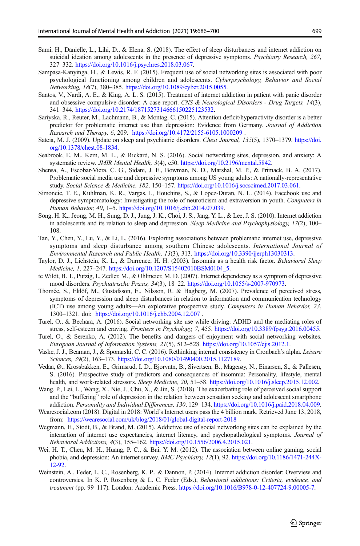- <span id="page-13-0"></span>Sami, H., Danielle, L., Lihi, D., & Elena, S. (2018). The effect of sleep disturbances and internet addiction on suicidal ideation among adolescents in the presence of depressive symptoms. Psychiatry Research, 267, 327–332. <https://doi.org/10.1016/j.psychres.2018.03.067>.
- Sampasa-Kanyinga, H., & Lewis, R. F. (2015). Frequent use of social networking sites is associated with poor psychological functioning among children and adolescents. Cyberpsychology, Behavior and Social Networking, 18(7), 380–385. <https://doi.org/10.1089/cyber.2015.0055>.
- Santos, V., Nardi, A. E., & King, A. L. S. (2015). Treatment of internet addiction in patient with panic disorder and obsessive compulsive disorder: A case report. CNS & Neurological Disorders - Drug Targets, 14(3), 341–344. <https://doi.org/10.2174/1871527314666150225123532>.
- Sariyska, R., Reuter, M., Lachmann, B., & Montag, C. (2015). Attention deficit/hyperactivity disorder is a better predictor for problematic internet use than depression: Evidence from Germany. Journal of Addiction Research and Therapy, 6, 209. <https://doi.org/10.4172/2155-6105.1000209> .
- Sateia, M. J. (2009). Update on sleep and psychiatric disorders. Chest Journal, 135(5), 1370–1379. [https://doi.](https://doi.org/10.1378/chest.08-1834) [org/10.1378/chest.08-1834](https://doi.org/10.1378/chest.08-1834).
- Seabrook, E. M., Kern, M. L., & Rickard, N. S. (2016). Social networking sites, depression, and anxiety: A systematic review. JMIR Mental Health, 3(4), e50. [https://doi.org/10.2196/mental.5842.](https://doi.org/10.2196/mental.5842)
- Shensa, A., Escobar-Viera, C. G., Sidani, J. E., Bowman, N. D., Marshal, M. P., & Primack, B. A. (2017). Problematic social media use and depressive symptoms among US young adults: A nationally-representative study. Social Science & Medicine, 182, 150–157. <https://doi.org/10.1016/j.socscimed.2017.03.061>.
- Simoncic, T. E., Kuhlman, K. R., Vargas, I., Houchins, S., & Lopez-Duran, N. L. (2014). Facebook use and depressive symptomatology: Investigating the role of neuroticism and extraversion in youth. Computers in Human Behavior, 40, 1–5. <https://doi.org/10.1016/j.chb.2014.07.039>.
- Song, H. K., Jeong, M. H., Sung, D. J., Jung, J. K., Choi, J. S., Jang, Y. L., & Lee, J. S. (2010). Internet addiction in adolescents and its relation to sleep and depression. Sleep Medicine and Psychophysiology,  $17(2)$ ,  $100-$ 108.
- Tan, Y., Chen, Y., Lu, Y., & Li, L. (2016). Exploring associations between problematic internet use, depressive symptoms and sleep disturbance among southern Chinese adolescents. International Journal of Environmental Research and Public Health, 13(3), 313. <https://doi.org/10.3390/ijerph13030313>.
- Taylor, D. J., Lichstein, K. L., & Durrence, H. H. (2003). Insomnia as a health risk factor. Behavioral Sleep Medicine, 1, 227–247. [https://doi.org/10.1207/S15402010BSM0104\\_5](https://doi.org/10.1207/S15402010BSM0104_5).
- te Wildt, B. T., Putzig, I., Zedler, M., & Ohlmeier, M. D. (2007). Internet dependency as a symptom of depressive mood disorders. Psychiatrische Praxis, 34(3), 18–22. [https://doi.org/10.1055/s-2007-970973.](https://doi.org/10.1055/s-2007-970973)
- Thomée, S., Eklöf, M., Gustafsson, E., Nilsson, R. & Hagberg, M. (2007). Prevalence of perceived stress, symptoms of depression and sleep disturbances in relation to information and communication technology (ICT) use among young adults—An explorative prospective study. Computers in Human Behavior, 23, 1300–1321. doi: <https://doi.org/10.1016/j.chb.2004.12.007> .
- Turel, O., & Bechara, A. (2016). Social networking site use while driving: ADHD and the mediating roles of stress, self-esteem and craving. Frontiers in Psychology, 7, 455. [https://doi.org/10.3389/fpsyg.2016.00455.](https://doi.org/10.3389/fpsyg.2016.00455)
- Turel, O., & Serenko, A. (2012). The benefits and dangers of enjoyment with social networking websites. European Journal of Information Systems, 21(5), 512–528. <https://doi.org/10.1057/ejis.2012.1>.
- Vaske, J. J., Beaman, J., & Sponarski, C. C. (2016). Rethinking internal consistency in Cronbach's alpha. Leisure Sciences, 39(2), 163-173. [https://doi.org/10.1080/01490400.2015.1127189.](https://doi.org/10.1080/01490400.2015.1127189)
- Vedaa, Ø., Krossbakken, E., Grimsrud, I. D., Bjorvatn, B., Sivertsen, B., Magerøy, N., Einarsen, S., & Pallesen, S. (2016). Prospective study of predictors and consequences of insomnia: Personality, lifestyle, mental health, and work-related stressors. Sleep Medicine, 20, 51–58. <https://doi.org/10.1016/j.sleep.2015.12.002>.
- Wang, P., Lei, L., Wang, X., Nie, J., Chu, X., & Jin, S. (2018). The exacerbating role of perceived social support and the "buffering" role of depression in the relation between sensation seeking and adolescent smartphone addiction. Personality and Individual Differences, 130, 129–134. [https://doi.org/10.1016/j.paid.2018.04.009.](https://doi.org/10.1016/j.paid.2018.04.009)
- Wearesocial.com (2018). Digital in 2018: World's Internet users pass the 4 billion mark. Retrieved June 13, 2018, from: <https://wearesocial.com/uk/blog/2018/01/global-digital-report-2018>
- Wegmann, E., Stodt, B., & Brand, M. (2015). Addictive use of social networking sites can be explained by the interaction of internet use expectancies, internet literacy, and psychopathological symptoms. Journal of Behavioral Addictions, 4(3), 155–162. [https://doi.org/10.1556/2006.4.2015.021.](https://doi.org/10.1556/2006.4.2015.021)
- Wei, H. T., Chen, M. H., Huang, P. C., & Bai, Y. M. (2012). The association between online gaming, social phobia, and depression: An internet survey. BMC Psychiatry, 12(1), 92. [https://doi.org/10.1186/1471-244X-](https://doi.org/10.1186/1471-244X-12-92)[12-92.](https://doi.org/10.1186/1471-244X-12-92)
- Weinstein, A., Feder, L. C., Rosenberg, K. P., & Dannon, P. (2014). Internet addiction disorder: Overview and controversies. In K. P. Rosenberg & L. C. Feder (Eds.), Behavioral addictions: Criteria, evidence, and treatment (pp. 99–117). London: Academic Press. [https://doi.org/10.1016/B978-0-12-407724-9.00005-7.](https://doi.org/10.1016/B978-0-12-407724-9.00005-7)